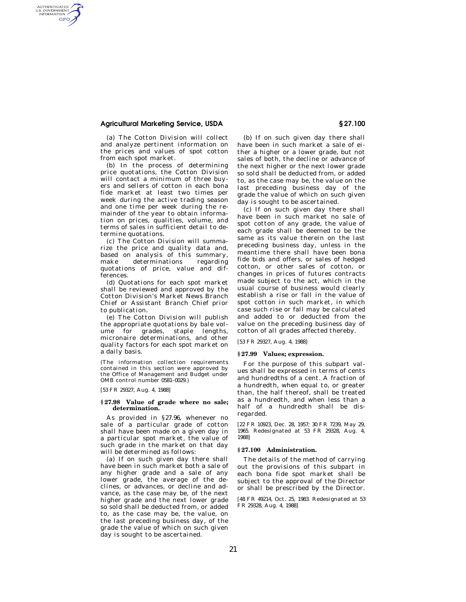# **Agricultural Marketing Service, USDA § 27.100**

AUTHENTICATED<br>U.S. GOVERNMENT<br>INFORMATION GPO

> (a) The Cotton Division will collect and analyze pertinent information on the prices and values of spot cotton from each spot market.

> (b) In the process of determining price quotations, the Cotton Division will contact a minimum of three buyers and sellers of cotton in each bona fide market at least two times per week during the active trading season and one time per week during the remainder of the year to obtain information on prices, qualities, volume, and terms of sales in sufficient detail to determine quotations.

> (c) The Cotton Division will summarize the price and quality data and, based on analysis of this summary, make determinations regarding quotations of price, value and differences.

> (d) Quotations for each spot market shall be reviewed and approved by the Cotton Division's Market News Branch Chief or Assistant Branch Chief prior to publication.

> (e) The Cotton Division will publish the appropriate quotations by bale volume for grades, staple lengths, micronaire determinations, and other quality factors for each spot market on a daily basis.

> (The information collection requirements contained in this section were approved by the Office of Management and Budget under OMB control number 0581–0029.)

[53 FR 29327, Aug. 4, 1988]

### **§ 27.98 Value of grade where no sale; determination.**

As provided in §27.96, whenever no sale of a particular grade of cotton shall have been made on a given day in a particular spot market, the value of such grade in the market on that day will be determined as follows:

(a) If on such given day there shall have been in such market both a sale of any higher grade and a sale of any lower grade, the average of the declines, or advances, or decline and advance, as the case may be, of the next higher grade and the next lower grade so sold shall be deducted from, or added to, as the case may be, the value, on the last preceding business day, of the grade the value of which on such given day is sought to be ascertained.

(b) If on such given day there shall have been in such market a sale of either a higher or a lower grade, but not sales of both, the decline or advance of the next higher or the next lower grade so sold shall be deducted from, or added to, as the case may be, the value on the last preceding business day of the grade the value of which on such given day is sought to be ascertained.

(c) If on such given day there shall have been in such market no sale of spot cotton of any grade, the value of each grade shall be deemed to be the same as its value therein on the last preceding business day, unless in the meantime there shall have been bona fide bids and offers, or sales of hedged cotton, or other sales of cotton, or changes in prices of futures contracts made subject to the act, which in the usual course of business would clearly establish a rise or fall in the value of spot cotton in such market, in which case such rise or fall may be calculated and added to or deducted from the value on the preceding business day of cotton of all grades affected thereby.

[53 FR 29327, Aug. 4, 1988]

### **§ 27.99 Values; expression.**

For the purpose of this subpart values shall be expressed in terms of cents and hundredths of a cent. A fraction of a hundredth, when equal to, or greater than, the half thereof, shall be treated as a hundredth, and when less than a half of a hundredth shall be disregarded.

[22 FR 10923, Dec. 28, 1957; 30 FR 7239, May 29, 1965. Redesignated at 53 FR 29328, Aug. 4, 1988]

## **§ 27.100 Administration.**

The details of the method of carrying out the provisions of this subpart in each bona fide spot market shall be subject to the approval of the Director or shall be prescribed by the Director.

[48 FR 49214, Oct. 25, 1983. Redesignated at 53 FR 29328, Aug. 4, 1988]